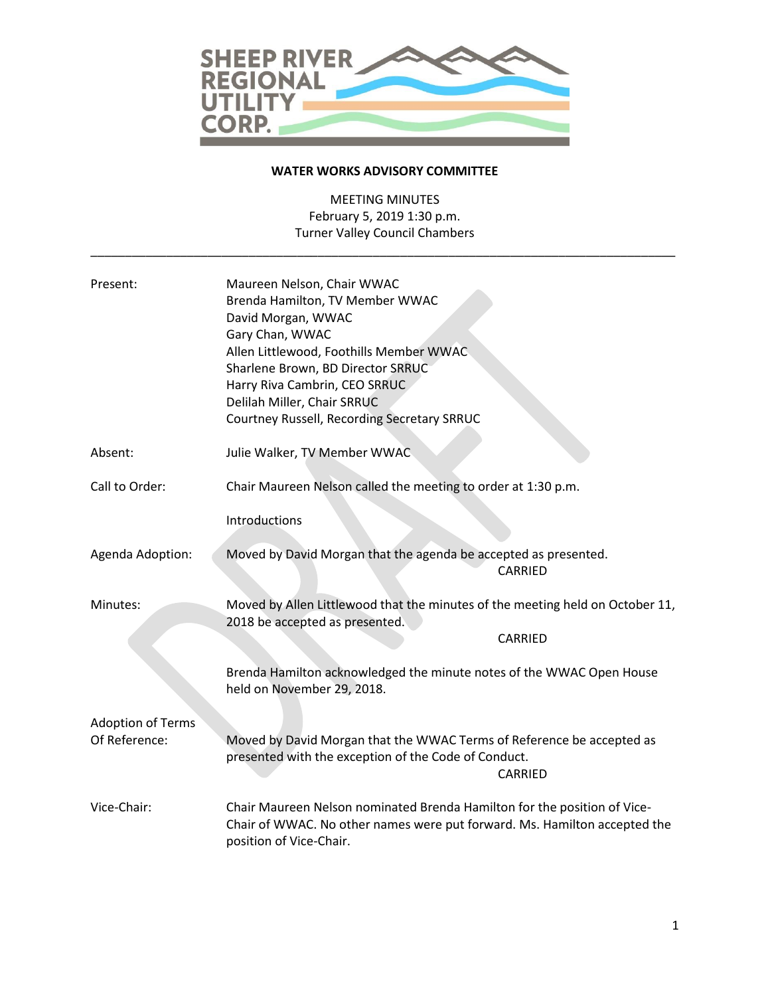

## **WATER WORKS ADVISORY COMMITTEE**

MEETING MINUTES February 5, 2019 1:30 p.m. Turner Valley Council Chambers

\_\_\_\_\_\_\_\_\_\_\_\_\_\_\_\_\_\_\_\_\_\_\_\_\_\_\_\_\_\_\_\_\_\_\_\_\_\_\_\_\_\_\_\_\_\_\_\_\_\_\_\_\_\_\_\_\_\_\_\_\_\_\_\_\_\_\_\_\_\_\_\_\_\_\_\_\_\_\_\_\_\_\_\_\_

| Present:                 | Maureen Nelson, Chair WWAC<br>Brenda Hamilton, TV Member WWAC<br>David Morgan, WWAC<br>Gary Chan, WWAC<br>Allen Littlewood, Foothills Member WWAC<br>Sharlene Brown, BD Director SRRUC<br>Harry Riva Cambrin, CEO SRRUC<br>Delilah Miller, Chair SRRUC<br>Courtney Russell, Recording Secretary SRRUC |                |
|--------------------------|-------------------------------------------------------------------------------------------------------------------------------------------------------------------------------------------------------------------------------------------------------------------------------------------------------|----------------|
| Absent:                  | Julie Walker, TV Member WWAC                                                                                                                                                                                                                                                                          |                |
| Call to Order:           | Chair Maureen Nelson called the meeting to order at 1:30 p.m.                                                                                                                                                                                                                                         |                |
|                          | Introductions                                                                                                                                                                                                                                                                                         |                |
| Agenda Adoption:         | Moved by David Morgan that the agenda be accepted as presented.                                                                                                                                                                                                                                       | CARRIED        |
| Minutes:                 | Moved by Allen Littlewood that the minutes of the meeting held on October 11,<br>2018 be accepted as presented.                                                                                                                                                                                       |                |
|                          |                                                                                                                                                                                                                                                                                                       | CARRIED        |
|                          | Brenda Hamilton acknowledged the minute notes of the WWAC Open House<br>held on November 29, 2018.                                                                                                                                                                                                    |                |
| <b>Adoption of Terms</b> |                                                                                                                                                                                                                                                                                                       |                |
| Of Reference:            | Moved by David Morgan that the WWAC Terms of Reference be accepted as<br>presented with the exception of the Code of Conduct.                                                                                                                                                                         | <b>CARRIED</b> |
| Vice-Chair:              | Chair Maureen Nelson nominated Brenda Hamilton for the position of Vice-<br>Chair of WWAC. No other names were put forward. Ms. Hamilton accepted the<br>position of Vice-Chair.                                                                                                                      |                |